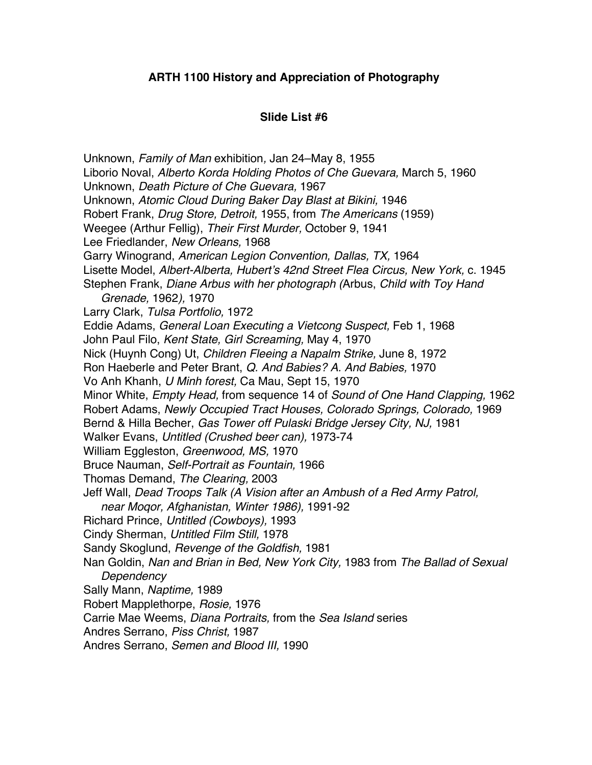## **ARTH 1100 History and Appreciation of Photography**

## **Slide List #6**

Unknown, *Family of Man* exhibition*,* Jan 24–May 8, 1955 Liborio Noval, *Alberto Korda Holding Photos of Che Guevara,* March 5, 1960 Unknown, *Death Picture of Che Guevara,* 1967 Unknown, *Atomic Cloud During Baker Day Blast at Bikini,* 1946 Robert Frank, *Drug Store, Detroit,* 1955, from *The Americans* (1959) Weegee (Arthur Fellig), *Their First Murder,* October 9, 1941 Lee Friedlander, *New Orleans,* 1968 Garry Winogrand, *American Legion Convention, Dallas, TX,* 1964 Lisette Model, *Albert-Alberta, Hubert's 42nd Street Flea Circus, New York,* c. 1945 Stephen Frank, *Diane Arbus with her photograph (*Arbus, *Child with Toy Hand Grenade,* 1962*),* 1970 Larry Clark, *Tulsa Portfolio,* 1972 Eddie Adams, *General Loan Executing a Vietcong Suspect,* Feb 1, 1968 John Paul Filo, *Kent State, Girl Screaming,* May 4, 1970 Nick (Huynh Cong) Ut, *Children Fleeing a Napalm Strike,* June 8, 1972 Ron Haeberle and Peter Brant, *Q. And Babies? A. And Babies,* 1970 Vo Anh Khanh, *U Minh forest,* Ca Mau, Sept 15, 1970 Minor White, *Empty Head,* from sequence 14 of *Sound of One Hand Clapping,* 1962 Robert Adams, *Newly Occupied Tract Houses, Colorado Springs, Colorado,* 1969 Bernd & Hilla Becher, *Gas Tower off Pulaski Bridge Jersey City, NJ,* 1981 Walker Evans, *Untitled (Crushed beer can),* 1973-74 William Eggleston, *Greenwood, MS,* 1970 Bruce Nauman, *Self-Portrait as Fountain,* 1966 Thomas Demand, *The Clearing,* 2003 Jeff Wall, *Dead Troops Talk (A Vision after an Ambush of a Red Army Patrol, near Moqor, Afghanistan, Winter 1986),* 1991-92 Richard Prince, *Untitled (Cowboys),* 1993 Cindy Sherman, *Untitled Film Still,* 1978 Sandy Skoglund, *Revenge of the Goldfish,* 1981 Nan Goldin, *Nan and Brian in Bed, New York City,* 1983 from *The Ballad of Sexual Dependency*  Sally Mann, *Naptime,* 1989 Robert Mapplethorpe, *Rosie,* 1976 Carrie Mae Weems, *Diana Portraits,* from the *Sea Island* series Andres Serrano, *Piss Christ,* 1987 Andres Serrano, *Semen and Blood III,* 1990